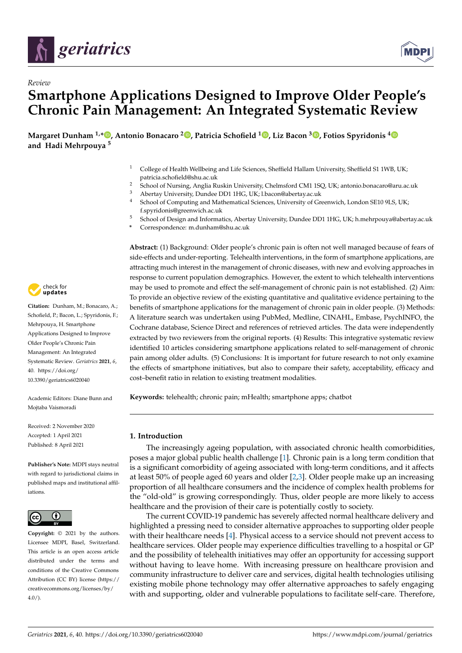



# *Review* **Smartphone Applications Designed to Improve Older People's Chronic Pain Management: An Integrated Systematic Review**

**Margaret Dunham 1,[\\*](https://orcid.org/0000-0002-7244-1476) , Antonio Bonacaro <sup>2</sup> [,](https://orcid.org/0000-0003-4475-5280) Patricia Schofield <sup>1</sup> [,](https://orcid.org/0000-0003-4242-754X) Liz Bacon <sup>3</sup> [,](https://orcid.org/0000-0003-0041-9605) Fotios Spyridonis [4](https://orcid.org/0000-0003-4253-365X) and Hadi Mehrpouya <sup>5</sup>**

- <sup>1</sup> College of Health Wellbeing and Life Sciences, Sheffield Hallam University, Sheffield S1 1WB, UK; patricia.schofield@shu.ac.uk
- <sup>2</sup> School of Nursing, Anglia Ruskin University, Chelmsford CM1 1SQ, UK; antonio.bonacaro@aru.ac.uk
- <sup>3</sup> Abertay University, Dundee DD1 1HG, UK; l.bacon@abertay.ac.uk
- <sup>4</sup> School of Computing and Mathematical Sciences, University of Greenwich, London SE10 9LS, UK; f.spyridonis@greenwich.ac.uk
- <sup>5</sup> School of Design and Informatics, Abertay University, Dundee DD1 1HG, UK; h.mehrpouya@abertay.ac.uk
- **\*** Correspondence: m.dunham@shu.ac.uk

**Abstract:** (1) Background: Older people's chronic pain is often not well managed because of fears of side-effects and under-reporting. Telehealth interventions, in the form of smartphone applications, are attracting much interest in the management of chronic diseases, with new and evolving approaches in response to current population demographics. However, the extent to which telehealth interventions may be used to promote and effect the self-management of chronic pain is not established. (2) Aim: To provide an objective review of the existing quantitative and qualitative evidence pertaining to the benefits of smartphone applications for the management of chronic pain in older people. (3) Methods: A literature search was undertaken using PubMed, Medline, CINAHL, Embase, PsychINFO, the Cochrane database, Science Direct and references of retrieved articles. The data were independently extracted by two reviewers from the original reports. (4) Results: This integrative systematic review identified 10 articles considering smartphone applications related to self-management of chronic pain among older adults. (5) Conclusions: It is important for future research to not only examine the effects of smartphone initiatives, but also to compare their safety, acceptability, efficacy and cost–benefit ratio in relation to existing treatment modalities.

**Keywords:** telehealth; chronic pain; mHealth; smartphone apps; chatbot

# **1. Introduction**

The increasingly ageing population, with associated chronic health comorbidities, poses a major global public health challenge [\[1\]](#page-11-0). Chronic pain is a long term condition that is a significant comorbidity of ageing associated with long-term conditions, and it affects at least 50% of people aged 60 years and older [\[2](#page-11-1)[,3\]](#page-12-0). Older people make up an increasing proportion of all healthcare consumers and the incidence of complex health problems for the "old-old" is growing correspondingly. Thus, older people are more likely to access healthcare and the provision of their care is potentially costly to society.

The current COVID-19 pandemic has severely affected normal healthcare delivery and highlighted a pressing need to consider alternative approaches to supporting older people with their healthcare needs [\[4\]](#page-12-1). Physical access to a service should not prevent access to healthcare services. Older people may experience difficulties travelling to a hospital or GP and the possibility of telehealth initiatives may offer an opportunity for accessing support without having to leave home. With increasing pressure on healthcare provision and community infrastructure to deliver care and services, digital health technologies utilising existing mobile phone technology may offer alternative approaches to safely engaging with and supporting, older and vulnerable populations to facilitate self-care. Therefore,



**Citation:** Dunham, M.; Bonacaro, A.; Schofield, P.; Bacon, L.; Spyridonis, F.; Mehrpouya, H. Smartphone Applications Designed to Improve Older People's Chronic Pain Management: An Integrated Systematic Review. *Geriatrics* **2021**, *6*, 40. [https://doi.org/](https://doi.org/10.3390/geriatrics6020040) [10.3390/geriatrics6020040](https://doi.org/10.3390/geriatrics6020040)

Academic Editors: Diane Bunn and Mojtaba Vaismoradi

Received: 2 November 2020 Accepted: 1 April 2021 Published: 8 April 2021

**Publisher's Note:** MDPI stays neutral with regard to jurisdictional claims in published maps and institutional affiliations.



**Copyright:** © 2021 by the authors. Licensee MDPI, Basel, Switzerland. This article is an open access article distributed under the terms and conditions of the Creative Commons Attribution (CC BY) license (https:/[/](https://creativecommons.org/licenses/by/4.0/) [creativecommons.org/licenses/by/](https://creativecommons.org/licenses/by/4.0/)  $4.0/$ ).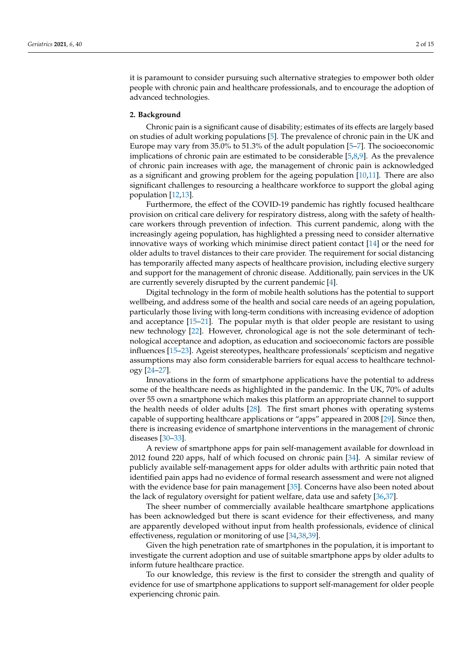it is paramount to consider pursuing such alternative strategies to empower both older people with chronic pain and healthcare professionals, and to encourage the adoption of advanced technologies.

### **2. Background**

Chronic pain is a significant cause of disability; estimates of its effects are largely based on studies of adult working populations [\[5\]](#page-12-2). The prevalence of chronic pain in the UK and Europe may vary from 35.0% to 51.3% of the adult population [\[5](#page-12-2)[–7\]](#page-12-3). The socioeconomic implications of chronic pain are estimated to be considerable [\[5,](#page-12-2)[8](#page-12-4)[,9\]](#page-12-5). As the prevalence of chronic pain increases with age, the management of chronic pain is acknowledged as a significant and growing problem for the ageing population [\[10](#page-12-6)[,11\]](#page-12-7). There are also significant challenges to resourcing a healthcare workforce to support the global aging population [\[12](#page-12-8)[,13\]](#page-12-9).

Furthermore, the effect of the COVID-19 pandemic has rightly focused healthcare provision on critical care delivery for respiratory distress, along with the safety of healthcare workers through prevention of infection. This current pandemic, along with the increasingly ageing population, has highlighted a pressing need to consider alternative innovative ways of working which minimise direct patient contact [\[14\]](#page-12-10) or the need for older adults to travel distances to their care provider. The requirement for social distancing has temporarily affected many aspects of healthcare provision, including elective surgery and support for the management of chronic disease. Additionally, pain services in the UK are currently severely disrupted by the current pandemic [\[4\]](#page-12-1).

Digital technology in the form of mobile health solutions has the potential to support wellbeing, and address some of the health and social care needs of an ageing population, particularly those living with long-term conditions with increasing evidence of adoption and acceptance [\[15–](#page-12-11)[21\]](#page-12-12). The popular myth is that older people are resistant to using new technology [\[22\]](#page-12-13). However, chronological age is not the sole determinant of technological acceptance and adoption, as education and socioeconomic factors are possible influences [\[15–](#page-12-11)[23\]](#page-12-14). Ageist stereotypes, healthcare professionals' scepticism and negative assumptions may also form considerable barriers for equal access to healthcare technology [\[24–](#page-12-15)[27\]](#page-12-16).

Innovations in the form of smartphone applications have the potential to address some of the healthcare needs as highlighted in the pandemic. In the UK, 70% of adults over 55 own a smartphone which makes this platform an appropriate channel to support the health needs of older adults [\[28\]](#page-12-17). The first smart phones with operating systems capable of supporting healthcare applications or "apps" appeared in 2008 [\[29\]](#page-12-18). Since then, there is increasing evidence of smartphone interventions in the management of chronic diseases [\[30](#page-13-0)[–33\]](#page-13-1).

A review of smartphone apps for pain self-management available for download in 2012 found 220 apps, half of which focused on chronic pain [\[34\]](#page-13-2). A similar review of publicly available self-management apps for older adults with arthritic pain noted that identified pain apps had no evidence of formal research assessment and were not aligned with the evidence base for pain management [\[35\]](#page-13-3). Concerns have also been noted about the lack of regulatory oversight for patient welfare, data use and safety [\[36,](#page-13-4)[37\]](#page-13-5).

The sheer number of commercially available healthcare smartphone applications has been acknowledged but there is scant evidence for their effectiveness, and many are apparently developed without input from health professionals, evidence of clinical effectiveness, regulation or monitoring of use [\[34,](#page-13-2)[38,](#page-13-6)[39\]](#page-13-7).

Given the high penetration rate of smartphones in the population, it is important to investigate the current adoption and use of suitable smartphone apps by older adults to inform future healthcare practice.

To our knowledge, this review is the first to consider the strength and quality of evidence for use of smartphone applications to support self-management for older people experiencing chronic pain.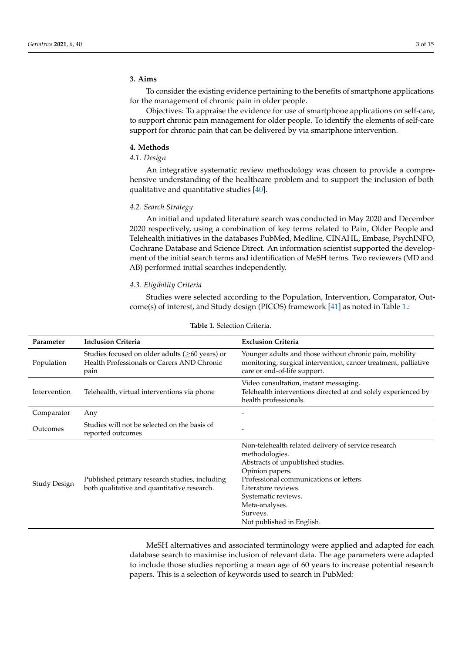# **3. Aims**

To consider the existing evidence pertaining to the benefits of smartphone applications for the management of chronic pain in older people.

Objectives: To appraise the evidence for use of smartphone applications on self-care, to support chronic pain management for older people. To identify the elements of self-care support for chronic pain that can be delivered by via smartphone intervention.

### **4. Methods**

# *4.1. Design*

An integrative systematic review methodology was chosen to provide a comprehensive understanding of the healthcare problem and to support the inclusion of both qualitative and quantitative studies [\[40\]](#page-13-8).

## *4.2. Search Strategy*

An initial and updated literature search was conducted in May 2020 and December 2020 respectively, using a combination of key terms related to Pain, Older People and Telehealth initiatives in the databases PubMed, Medline, CINAHL, Embase, PsychINFO, Cochrane Database and Science Direct. An information scientist supported the development of the initial search terms and identification of MeSH terms. Two reviewers (MD and AB) performed initial searches independently.

## *4.3. Eligibility Criteria*

Studies were selected according to the Population, Intervention, Comparator, Outcome(s) of interest, and Study design (PICOS) framework [\[41\]](#page-13-9) as noted in Table [1.](#page-2-0):

<span id="page-2-0"></span>

| Parameter    | <b>Inclusion Criteria</b>                                                                                   | <b>Exclusion Criteria</b>                                                                                                                                                                                                                                                         |
|--------------|-------------------------------------------------------------------------------------------------------------|-----------------------------------------------------------------------------------------------------------------------------------------------------------------------------------------------------------------------------------------------------------------------------------|
| Population   | Studies focused on older adults ( $\geq 60$ years) or<br>Health Professionals or Carers AND Chronic<br>pain | Younger adults and those without chronic pain, mobility<br>monitoring, surgical intervention, cancer treatment, palliative<br>care or end-of-life support.                                                                                                                        |
| Intervention | Telehealth, virtual interventions via phone                                                                 | Video consultation, instant messaging.<br>Telehealth interventions directed at and solely experienced by<br>health professionals.                                                                                                                                                 |
| Comparator   | Any                                                                                                         |                                                                                                                                                                                                                                                                                   |
| Outcomes     | Studies will not be selected on the basis of<br>reported outcomes                                           |                                                                                                                                                                                                                                                                                   |
| Study Design | Published primary research studies, including<br>both qualitative and quantitative research.                | Non-telehealth related delivery of service research<br>methodologies.<br>Abstracts of unpublished studies.<br>Opinion papers.<br>Professional communications or letters.<br>Literature reviews.<br>Systematic reviews.<br>Meta-analyses.<br>Surveys.<br>Not published in English. |

**Table 1.** Selection Criteria.

MeSH alternatives and associated terminology were applied and adapted for each database search to maximise inclusion of relevant data. The age parameters were adapted to include those studies reporting a mean age of 60 years to increase potential research papers. This is a selection of keywords used to search in PubMed: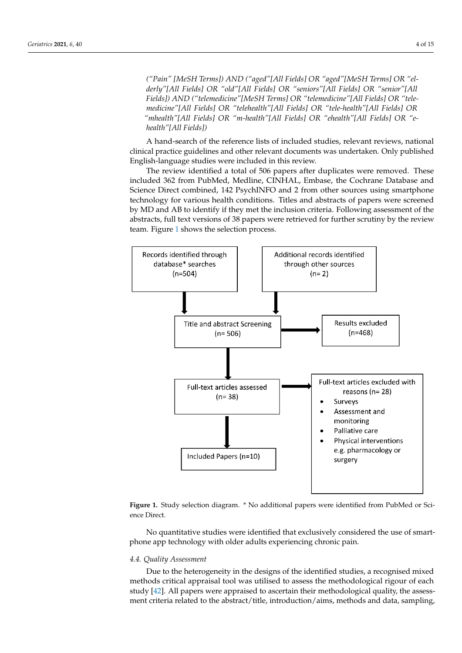*("Pain" [MeSH Terms]) AND ("aged"[All Fields] OR "aged"[MeSH Terms] OR "el-("Pain" [MeSH Terms]) AND ("aged"[All Fields] OR "aged"[MeSH Terms] OR "elderly"[All Fields] OR "old"[All Fields] OR "seniors"[All Fields] OR "senior"[All derly"[All Fields] OR "old"[All Fields] OR "seniors"[All Fields] OR "senior"[All Fields]) AND ("telemedicine"[MeSH Terms] OR "telemedicine"[All Fields] OR "tele-Fields]) AND ("telemedicine"[MeSH Terms] OR "telemedicine"[All Fields] OR "telemedicine"[All Fields] OR "telehealth"[All Fields] OR "tele-health"[All Fields] OR medicine"[All Fields] OR "telehealth"[All Fields] OR "tele-health"[All Fields] OR "mhealth"[All Fields] OR "m-health"[All Fields] OR "ehealth"[All Fields] OR "e-"mhealth"[All Fields] OR "m-health"[All Fields] OR "ehealth"[All Fields] OR "ehealth"[All Fields]) health"[All Fields])*

to include those studies reporting a mean age of 60 years to increase potential research  $\sigma$ 

A hand-search of the reference lists of included studies, relevant reviews, national A hand-search of the reference lists of included studies, relevant reviews, national clinical practice guidelines and other relevant documents was undertaken. Only published English-language studies were included in this review.

The review identified a total of 506 papers after duplicates were removed. These included 362 from PubMed, Medline, CINHAL, Embase, the Cochrane Database and Science Direct combined, 142 PsychINFO and 2 from other sources using smartphone technology for various health conditions. Titles and abstracts of papers were screened by MD and AB to identify if they met the inclusion criteria. Following assessment of the abstracts, full text versions of 38 papers were retrieved for further scrutiny by the review team. Figure 1 shows t[he](#page-3-0) selection process.

<span id="page-3-0"></span>

Figure 1. Study selection diagram. \* No additional papers were identified from PubMed or Sci-Direct. ence Direct.

No quantitative studies were identified that exclusively considered the use of No quantitative studies were identified that exclusively considered the use of smartphone app technology with older adults experiencing chronic pain.

#### *4.4. Quality Assessment*

Due to the heterogeneity in the designs of the identified studies, a recognised mixed methods critical appraisal tool was utilised to assess the methodological rigour of each study [\[42\]](#page-13-10). All papers were appraised to ascertain their methodological quality, the assessment criteria related to the abstract/title, introduction/aims, methods and data, sampling,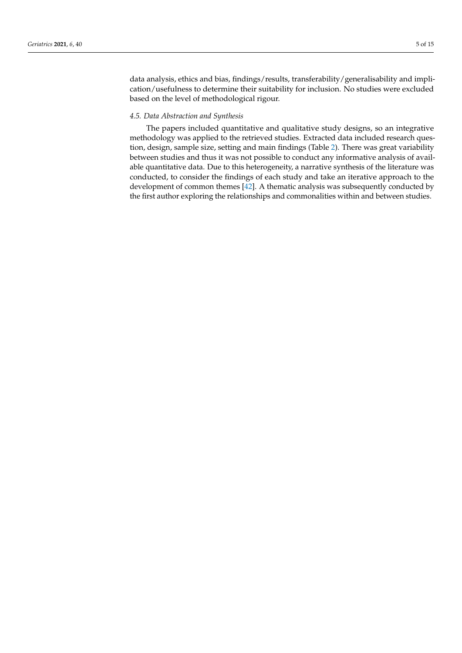data analysis, ethics and bias, findings/results, transferability/generalisability and implication/usefulness to determine their suitability for inclusion. No studies were excluded based on the level of methodological rigour.

### *4.5. Data Abstraction and Synthesis*

The papers included quantitative and qualitative study designs, so an integrative methodology was applied to the retrieved studies. Extracted data included research question, design, sample size, setting and main findings (Table [2\)](#page-6-0). There was great variability between studies and thus it was not possible to conduct any informative analysis of available quantitative data. Due to this heterogeneity, a narrative synthesis of the literature was conducted, to consider the findings of each study and take an iterative approach to the development of common themes [\[42\]](#page-13-10). A thematic analysis was subsequently conducted by the first author exploring the relationships and commonalities within and between studies.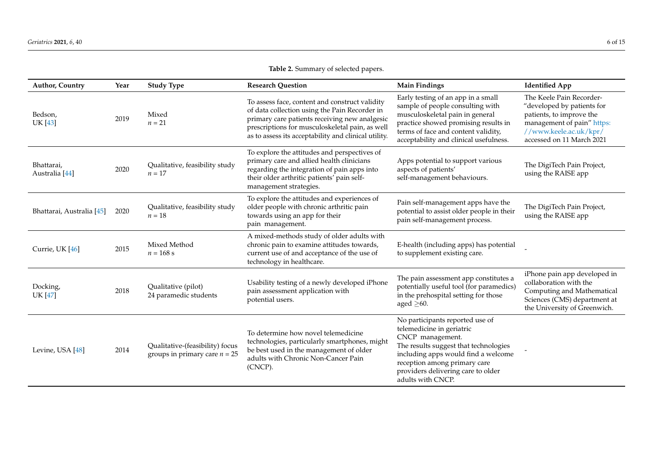| <b>Author, Country</b>                  | Year | <b>Study Type</b>                                                  | <b>Research Question</b>                                                                                                                                                                                                                                    | <b>Main Findings</b>                                                                                                                                                                                                                                        | <b>Identified App</b>                                                                                                                                                   |
|-----------------------------------------|------|--------------------------------------------------------------------|-------------------------------------------------------------------------------------------------------------------------------------------------------------------------------------------------------------------------------------------------------------|-------------------------------------------------------------------------------------------------------------------------------------------------------------------------------------------------------------------------------------------------------------|-------------------------------------------------------------------------------------------------------------------------------------------------------------------------|
| Bedson,<br><b>UK</b> [43]               | 2019 | Mixed<br>$n = 21$                                                  | To assess face, content and construct validity<br>of data collection using the Pain Recorder in<br>primary care patients receiving new analgesic<br>prescriptions for musculoskeletal pain, as well<br>as to assess its acceptability and clinical utility. | Early testing of an app in a small<br>sample of people consulting with<br>musculoskeletal pain in general<br>practice showed promising results in<br>terms of face and content validity,<br>acceptability and clinical usefulness.                          | The Keele Pain Recorder-<br>"developed by patients for<br>patients, to improve the<br>management of pain" https:<br>//www.keele.ac.uk/kpr/<br>accessed on 11 March 2021 |
| Bhattarai,<br>Australia <sup>[44]</sup> | 2020 | Qualitative, feasibility study<br>$n=17$                           | To explore the attitudes and perspectives of<br>primary care and allied health clinicians<br>regarding the integration of pain apps into<br>their older arthritic patients' pain self-<br>management strategies.                                            | Apps potential to support various<br>aspects of patients'<br>self-management behaviours.                                                                                                                                                                    | The DigiTech Pain Project,<br>using the RAISE app                                                                                                                       |
| Bhattarai, Australia [45]               | 2020 | Qualitative, feasibility study<br>$n=18$                           | To explore the attitudes and experiences of<br>older people with chronic arthritic pain<br>towards using an app for their<br>pain management.                                                                                                               | Pain self-management apps have the<br>potential to assist older people in their<br>pain self-management process.                                                                                                                                            | The DigiTech Pain Project,<br>using the RAISE app                                                                                                                       |
| Currie, UK [46]                         | 2015 | Mixed Method<br>$n = 168$ s                                        | A mixed-methods study of older adults with<br>chronic pain to examine attitudes towards,<br>current use of and acceptance of the use of<br>technology in healthcare.                                                                                        | E-health (including apps) has potential<br>to supplement existing care.                                                                                                                                                                                     |                                                                                                                                                                         |
| Docking,<br><b>UK</b> [47]              | 2018 | Qualitative (pilot)<br>24 paramedic students                       | Usability testing of a newly developed iPhone<br>pain assessment application with<br>potential users.                                                                                                                                                       | The pain assessment app constitutes a<br>potentially useful tool (for paramedics)<br>in the prehospital setting for those<br>aged $\geq 60$ .                                                                                                               | iPhone pain app developed in<br>collaboration with the<br>Computing and Mathematical<br>Sciences (CMS) department at<br>the University of Greenwich.                    |
| Levine, USA [48]                        | 2014 | Qualitative-(feasibility) focus<br>groups in primary care $n = 25$ | To determine how novel telemedicine<br>technologies, particularly smartphones, might<br>be best used in the management of older<br>adults with Chronic Non-Cancer Pain<br>(CNCP).                                                                           | No participants reported use of<br>telemedicine in geriatric<br>CNCP management.<br>The results suggest that technologies<br>including apps would find a welcome<br>reception among primary care<br>providers delivering care to older<br>adults with CNCP. |                                                                                                                                                                         |

**Table 2.** Summary of selected papers.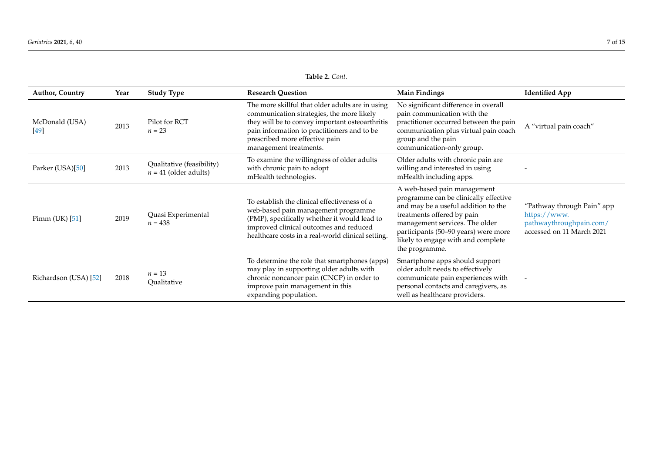| Table 2. Cont. |  |  |
|----------------|--|--|
|----------------|--|--|

<span id="page-6-0"></span>

| <b>Author, Country</b> | Year | <b>Study Type</b>                                    | <b>Research Question</b>                                                                                                                                                                                                                                    | <b>Main Findings</b>                                                                                                                                                                                                                                                        | <b>Identified App</b>                                                                              |
|------------------------|------|------------------------------------------------------|-------------------------------------------------------------------------------------------------------------------------------------------------------------------------------------------------------------------------------------------------------------|-----------------------------------------------------------------------------------------------------------------------------------------------------------------------------------------------------------------------------------------------------------------------------|----------------------------------------------------------------------------------------------------|
| McDonald (USA)<br>[49] | 2013 | Pilot for RCT<br>$n = 23$                            | The more skillful that older adults are in using<br>communication strategies, the more likely<br>they will be to convey important osteoarthritis<br>pain information to practitioners and to be<br>prescribed more effective pain<br>management treatments. | No significant difference in overall<br>pain communication with the<br>practitioner occurred between the pain<br>communication plus virtual pain coach<br>group and the pain<br>communication-only group.                                                                   | A "virtual pain coach"                                                                             |
| Parker (USA)[50]       | 2013 | Qualitative (feasibility)<br>$n = 41$ (older adults) | To examine the willingness of older adults<br>with chronic pain to adopt<br>mHealth technologies.                                                                                                                                                           | Older adults with chronic pain are<br>willing and interested in using<br>mHealth including apps.                                                                                                                                                                            |                                                                                                    |
| Pimm (UK) $[51]$       | 2019 | Quasi Experimental<br>$n = 438$                      | To establish the clinical effectiveness of a<br>web-based pain management programme<br>(PMP), specifically whether it would lead to<br>improved clinical outcomes and reduced<br>healthcare costs in a real-world clinical setting.                         | A web-based pain management<br>programme can be clinically effective<br>and may be a useful addition to the<br>treatments offered by pain<br>management services. The older<br>participants (50-90 years) were more<br>likely to engage with and complete<br>the programme. | "Pathway through Pain" app<br>https://www.<br>pathwaythroughpain.com/<br>accessed on 11 March 2021 |
| Richardson (USA) [52]  | 2018 | $n=13$<br>Qualitative                                | To determine the role that smartphones (apps)<br>may play in supporting older adults with<br>chronic noncancer pain (CNCP) in order to<br>improve pain management in this<br>expanding population.                                                          | Smartphone apps should support<br>older adult needs to effectively<br>communicate pain experiences with<br>personal contacts and caregivers, as<br>well as healthcare providers.                                                                                            |                                                                                                    |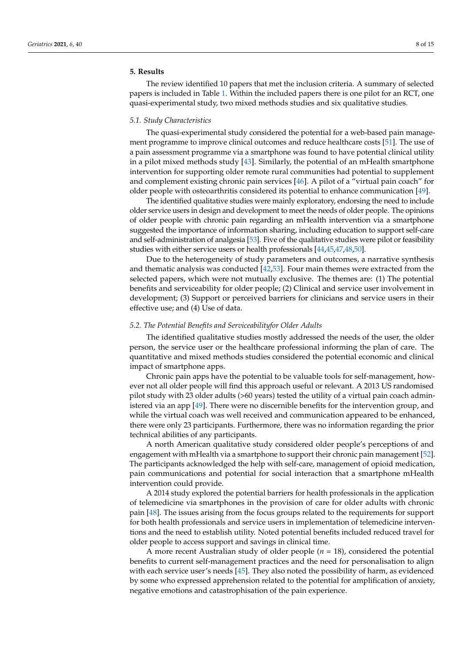## **5. Results**

The review identified 10 papers that met the inclusion criteria. A summary of selected papers is included in Table [1.](#page-2-0) Within the included papers there is one pilot for an RCT, one quasi-experimental study, two mixed methods studies and six qualitative studies.

#### *5.1. Study Characteristics*

The quasi-experimental study considered the potential for a web-based pain management programme to improve clinical outcomes and reduce healthcare costs [\[51\]](#page-13-21). The use of a pain assessment programme via a smartphone was found to have potential clinical utility in a pilot mixed methods study [\[43\]](#page-13-22). Similarly, the potential of an mHealth smartphone intervention for supporting older remote rural communities had potential to supplement and complement existing chronic pain services [\[46\]](#page-13-23). A pilot of a "virtual pain coach" for older people with osteoarthritis considered its potential to enhance communication [\[49\]](#page-13-24).

The identified qualitative studies were mainly exploratory, endorsing the need to include older service users in design and development to meet the needs of older people. The opinions of older people with chronic pain regarding an mHealth intervention via a smartphone suggested the importance of information sharing, including education to support self-care and self-administration of analgesia [\[53\]](#page-13-25). Five of the qualitative studies were pilot or feasibility studies with either service users or health professionals [\[44](#page-13-26)[,45](#page-13-27)[,47](#page-13-28)[,48](#page-13-29)[,50\]](#page-13-30).

Due to the heterogeneity of study parameters and outcomes, a narrative synthesis and thematic analysis was conducted [\[42](#page-13-10)[,53\]](#page-13-25). Four main themes were extracted from the selected papers, which were not mutually exclusive. The themes are: (1) The potential benefits and serviceability for older people; (2) Clinical and service user involvement in development; (3) Support or perceived barriers for clinicians and service users in their effective use; and (4) Use of data.

### *5.2. The Potential Benefits and Serviceabilityfor Older Adults*

The identified qualitative studies mostly addressed the needs of the user, the older person, the service user or the healthcare professional informing the plan of care. The quantitative and mixed methods studies considered the potential economic and clinical impact of smartphone apps.

Chronic pain apps have the potential to be valuable tools for self-management, however not all older people will find this approach useful or relevant. A 2013 US randomised pilot study with 23 older adults (>60 years) tested the utility of a virtual pain coach administered via an app [\[49\]](#page-13-24). There were no discernible benefits for the intervention group, and while the virtual coach was well received and communication appeared to be enhanced, there were only 23 participants. Furthermore, there was no information regarding the prior technical abilities of any participants.

A north American qualitative study considered older people's perceptions of and engagement with mHealth via a smartphone to support their chronic pain management [\[52\]](#page-13-31). The participants acknowledged the help with self-care, management of opioid medication, pain communications and potential for social interaction that a smartphone mHealth intervention could provide.

A 2014 study explored the potential barriers for health professionals in the application of telemedicine via smartphones in the provision of care for older adults with chronic pain [\[48\]](#page-13-29). The issues arising from the focus groups related to the requirements for support for both health professionals and service users in implementation of telemedicine interventions and the need to establish utility. Noted potential benefits included reduced travel for older people to access support and savings in clinical time.

A more recent Australian study of older people  $(n = 18)$ , considered the potential benefits to current self-management practices and the need for personalisation to align with each service user's needs [\[45\]](#page-13-27). They also noted the possibility of harm, as evidenced by some who expressed apprehension related to the potential for amplification of anxiety, negative emotions and catastrophisation of the pain experience.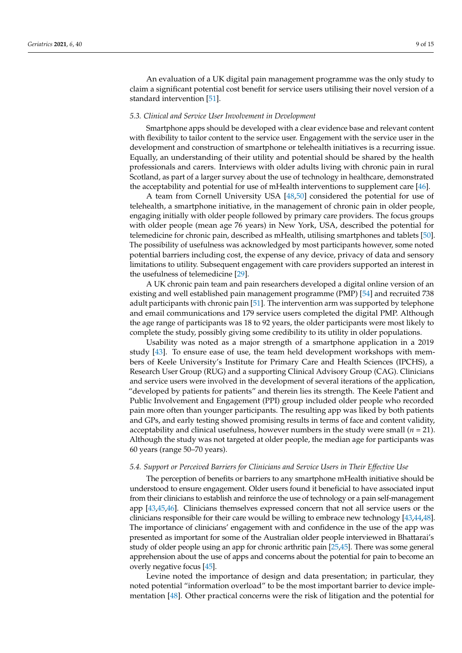An evaluation of a UK digital pain management programme was the only study to claim a significant potential cost benefit for service users utilising their novel version of a standard intervention [\[51\]](#page-13-21).

# *5.3. Clinical and Service User Involvement in Development*

Smartphone apps should be developed with a clear evidence base and relevant content with flexibility to tailor content to the service user. Engagement with the service user in the development and construction of smartphone or telehealth initiatives is a recurring issue. Equally, an understanding of their utility and potential should be shared by the health professionals and carers. Interviews with older adults living with chronic pain in rural Scotland, as part of a larger survey about the use of technology in healthcare, demonstrated the acceptability and potential for use of mHealth interventions to supplement care [\[46\]](#page-13-23).

A team from Cornell University USA [\[48](#page-13-29)[,50\]](#page-13-30) considered the potential for use of telehealth, a smartphone initiative, in the management of chronic pain in older people, engaging initially with older people followed by primary care providers. The focus groups with older people (mean age 76 years) in New York, USA, described the potential for telemedicine for chronic pain, described as mHealth, utilising smartphones and tablets [\[50\]](#page-13-30). The possibility of usefulness was acknowledged by most participants however, some noted potential barriers including cost, the expense of any device, privacy of data and sensory limitations to utility. Subsequent engagement with care providers supported an interest in the usefulness of telemedicine [\[29\]](#page-12-18).

A UK chronic pain team and pain researchers developed a digital online version of an existing and well established pain management programme (PMP) [\[54\]](#page-13-32) and recruited 738 adult participants with chronic pain [\[51\]](#page-13-21). The intervention arm was supported by telephone and email communications and 179 service users completed the digital PMP. Although the age range of participants was 18 to 92 years, the older participants were most likely to complete the study, possibly giving some credibility to its utility in older populations.

Usability was noted as a major strength of a smartphone application in a 2019 study [\[43\]](#page-13-22). To ensure ease of use, the team held development workshops with members of Keele University's Institute for Primary Care and Health Sciences (IPCHS), a Research User Group (RUG) and a supporting Clinical Advisory Group (CAG). Clinicians and service users were involved in the development of several iterations of the application, "developed by patients for patients" and therein lies its strength. The Keele Patient and Public Involvement and Engagement (PPI) group included older people who recorded pain more often than younger participants. The resulting app was liked by both patients and GPs, and early testing showed promising results in terms of face and content validity, acceptability and clinical usefulness, however numbers in the study were small (*n* = 21). Although the study was not targeted at older people, the median age for participants was 60 years (range 50–70 years).

#### *5.4. Support or Perceived Barriers for Clinicians and Service Users in Their Effective Use*

The perception of benefits or barriers to any smartphone mHealth initiative should be understood to ensure engagement. Older users found it beneficial to have associated input from their clinicians to establish and reinforce the use of technology or a pain self-management app [\[43,](#page-13-22)[45,](#page-13-27)[46\]](#page-13-23). Clinicians themselves expressed concern that not all service users or the clinicians responsible for their care would be willing to embrace new technology [\[43,](#page-13-22)[44,](#page-13-26)[48\]](#page-13-29). The importance of clinicians' engagement with and confidence in the use of the app was presented as important for some of the Australian older people interviewed in Bhattarai's study of older people using an app for chronic arthritic pain [\[25](#page-12-19)[,45\]](#page-13-27). There was some general apprehension about the use of apps and concerns about the potential for pain to become an overly negative focus [\[45\]](#page-13-27).

Levine noted the importance of design and data presentation; in particular, they noted potential "information overload" to be the most important barrier to device implementation [\[48\]](#page-13-29). Other practical concerns were the risk of litigation and the potential for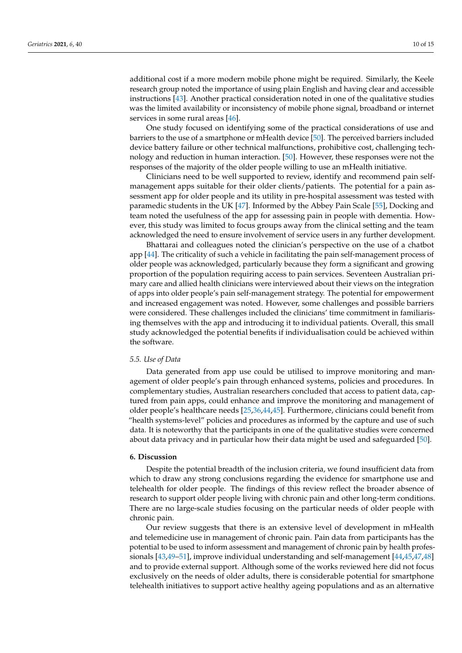additional cost if a more modern mobile phone might be required. Similarly, the Keele research group noted the importance of using plain English and having clear and accessible instructions [\[43\]](#page-13-22). Another practical consideration noted in one of the qualitative studies was the limited availability or inconsistency of mobile phone signal, broadband or internet services in some rural areas [\[46\]](#page-13-23).

One study focused on identifying some of the practical considerations of use and barriers to the use of a smartphone or mHealth device [\[50\]](#page-13-30). The perceived barriers included device battery failure or other technical malfunctions, prohibitive cost, challenging technology and reduction in human interaction. [\[50\]](#page-13-30). However, these responses were not the responses of the majority of the older people willing to use an mHealth initiative.

Clinicians need to be well supported to review, identify and recommend pain selfmanagement apps suitable for their older clients/patients. The potential for a pain assessment app for older people and its utility in pre-hospital assessment was tested with paramedic students in the UK [\[47\]](#page-13-28). Informed by the Abbey Pain Scale [\[55\]](#page-13-33), Docking and team noted the usefulness of the app for assessing pain in people with dementia. However, this study was limited to focus groups away from the clinical setting and the team acknowledged the need to ensure involvement of service users in any further development.

Bhattarai and colleagues noted the clinician's perspective on the use of a chatbot app [\[44\]](#page-13-26). The criticality of such a vehicle in facilitating the pain self-management process of older people was acknowledged, particularly because they form a significant and growing proportion of the population requiring access to pain services. Seventeen Australian primary care and allied health clinicians were interviewed about their views on the integration of apps into older people's pain self-management strategy. The potential for empowerment and increased engagement was noted. However, some challenges and possible barriers were considered. These challenges included the clinicians' time commitment in familiarising themselves with the app and introducing it to individual patients. Overall, this small study acknowledged the potential benefits if individualisation could be achieved within the software.

## *5.5. Use of Data*

Data generated from app use could be utilised to improve monitoring and management of older people's pain through enhanced systems, policies and procedures. In complementary studies, Australian researchers concluded that access to patient data, captured from pain apps, could enhance and improve the monitoring and management of older people's healthcare needs [\[25](#page-12-19)[,36](#page-13-4)[,44](#page-13-26)[,45\]](#page-13-27). Furthermore, clinicians could benefit from "health systems-level" policies and procedures as informed by the capture and use of such data. It is noteworthy that the participants in one of the qualitative studies were concerned about data privacy and in particular how their data might be used and safeguarded [\[50\]](#page-13-30).

#### **6. Discussion**

Despite the potential breadth of the inclusion criteria, we found insufficient data from which to draw any strong conclusions regarding the evidence for smartphone use and telehealth for older people. The findings of this review reflect the broader absence of research to support older people living with chronic pain and other long-term conditions. There are no large-scale studies focusing on the particular needs of older people with chronic pain.

Our review suggests that there is an extensive level of development in mHealth and telemedicine use in management of chronic pain. Pain data from participants has the potential to be used to inform assessment and management of chronic pain by health professionals [\[43](#page-13-22)[,49–](#page-13-24)[51\]](#page-13-21), improve individual understanding and self-management [\[44,](#page-13-26)[45,](#page-13-27)[47,](#page-13-28)[48\]](#page-13-29) and to provide external support. Although some of the works reviewed here did not focus exclusively on the needs of older adults, there is considerable potential for smartphone telehealth initiatives to support active healthy ageing populations and as an alternative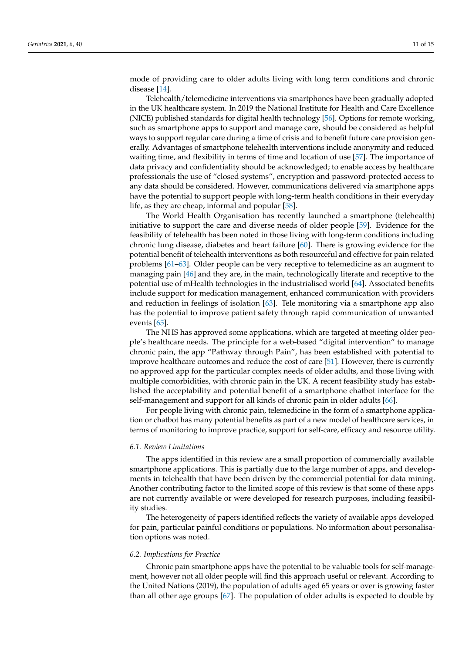mode of providing care to older adults living with long term conditions and chronic disease [\[14\]](#page-12-10).

Telehealth/telemedicine interventions via smartphones have been gradually adopted in the UK healthcare system. In 2019 the National Institute for Health and Care Excellence (NICE) published standards for digital health technology [\[56\]](#page-13-34). Options for remote working, such as smartphone apps to support and manage care, should be considered as helpful ways to support regular care during a time of crisis and to benefit future care provision generally. Advantages of smartphone telehealth interventions include anonymity and reduced waiting time, and flexibility in terms of time and location of use [\[57\]](#page-14-0). The importance of data privacy and confidentiality should be acknowledged; to enable access by healthcare professionals the use of "closed systems", encryption and password-protected access to any data should be considered. However, communications delivered via smartphone apps have the potential to support people with long-term health conditions in their everyday life, as they are cheap, informal and popular [\[58\]](#page-14-1).

The World Health Organisation has recently launched a smartphone (telehealth) initiative to support the care and diverse needs of older people [\[59\]](#page-14-2). Evidence for the feasibility of telehealth has been noted in those living with long-term conditions including chronic lung disease, diabetes and heart failure [\[60\]](#page-14-3). There is growing evidence for the potential benefit of telehealth interventions as both resourceful and effective for pain related problems [\[61](#page-14-4)[–63\]](#page-14-5). Older people can be very receptive to telemedicine as an augment to managing pain [\[46\]](#page-13-23) and they are, in the main, technologically literate and receptive to the potential use of mHealth technologies in the industrialised world [\[64\]](#page-14-6). Associated benefits include support for medication management, enhanced communication with providers and reduction in feelings of isolation [\[63\]](#page-14-5). Tele monitoring via a smartphone app also has the potential to improve patient safety through rapid communication of unwanted events [\[65\]](#page-14-7).

The NHS has approved some applications, which are targeted at meeting older people's healthcare needs. The principle for a web-based "digital intervention" to manage chronic pain, the app "Pathway through Pain", has been established with potential to improve healthcare outcomes and reduce the cost of care [\[51\]](#page-13-21). However, there is currently no approved app for the particular complex needs of older adults, and those living with multiple comorbidities, with chronic pain in the UK. A recent feasibility study has established the acceptability and potential benefit of a smartphone chatbot interface for the self-management and support for all kinds of chronic pain in older adults [\[66\]](#page-14-8).

For people living with chronic pain, telemedicine in the form of a smartphone application or chatbot has many potential benefits as part of a new model of healthcare services, in terms of monitoring to improve practice, support for self-care, efficacy and resource utility.

#### *6.1. Review Limitations*

The apps identified in this review are a small proportion of commercially available smartphone applications. This is partially due to the large number of apps, and developments in telehealth that have been driven by the commercial potential for data mining. Another contributing factor to the limited scope of this review is that some of these apps are not currently available or were developed for research purposes, including feasibility studies.

The heterogeneity of papers identified reflects the variety of available apps developed for pain, particular painful conditions or populations. No information about personalisation options was noted.

## *6.2. Implications for Practice*

Chronic pain smartphone apps have the potential to be valuable tools for self-management, however not all older people will find this approach useful or relevant. According to the United Nations (2019), the population of adults aged 65 years or over is growing faster than all other age groups [\[67\]](#page-14-9). The population of older adults is expected to double by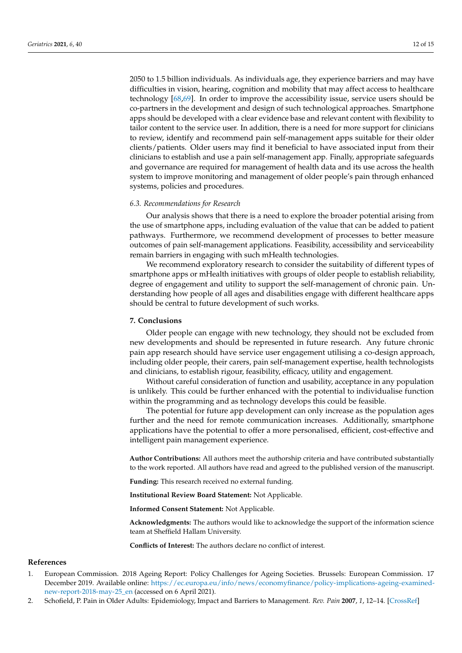2050 to 1.5 billion individuals. As individuals age, they experience barriers and may have difficulties in vision, hearing, cognition and mobility that may affect access to healthcare technology [\[68,](#page-14-10)[69\]](#page-14-11). In order to improve the accessibility issue, service users should be co-partners in the development and design of such technological approaches. Smartphone apps should be developed with a clear evidence base and relevant content with flexibility to tailor content to the service user. In addition, there is a need for more support for clinicians to review, identify and recommend pain self-management apps suitable for their older clients/patients. Older users may find it beneficial to have associated input from their clinicians to establish and use a pain self-management app. Finally, appropriate safeguards and governance are required for management of health data and its use across the health system to improve monitoring and management of older people's pain through enhanced systems, policies and procedures.

#### *6.3. Recommendations for Research*

Our analysis shows that there is a need to explore the broader potential arising from the use of smartphone apps, including evaluation of the value that can be added to patient pathways. Furthermore, we recommend development of processes to better measure outcomes of pain self-management applications. Feasibility, accessibility and serviceability remain barriers in engaging with such mHealth technologies.

We recommend exploratory research to consider the suitability of different types of smartphone apps or mHealth initiatives with groups of older people to establish reliability, degree of engagement and utility to support the self-management of chronic pain. Understanding how people of all ages and disabilities engage with different healthcare apps should be central to future development of such works.

# **7. Conclusions**

Older people can engage with new technology, they should not be excluded from new developments and should be represented in future research. Any future chronic pain app research should have service user engagement utilising a co-design approach, including older people, their carers, pain self-management expertise, health technologists and clinicians, to establish rigour, feasibility, efficacy, utility and engagement.

Without careful consideration of function and usability, acceptance in any population is unlikely. This could be further enhanced with the potential to individualise function within the programming and as technology develops this could be feasible.

The potential for future app development can only increase as the population ages further and the need for remote communication increases. Additionally, smartphone applications have the potential to offer a more personalised, efficient, cost-effective and intelligent pain management experience.

**Author Contributions:** All authors meet the authorship criteria and have contributed substantially to the work reported. All authors have read and agreed to the published version of the manuscript.

**Funding:** This research received no external funding.

**Institutional Review Board Statement:** Not Applicable.

**Informed Consent Statement:** Not Applicable.

**Acknowledgments:** The authors would like to acknowledge the support of the information science team at Sheffield Hallam University.

**Conflicts of Interest:** The authors declare no conflict of interest.

#### **References**

- <span id="page-11-0"></span>1. European Commission. 2018 Ageing Report: Policy Challenges for Ageing Societies. Brussels: European Commission. 17 December 2019. Available online: [https://ec.europa.eu/info/news/economyfinance/policy-implications-ageing-examined](https://ec.europa.eu/info/news/economyfinance/policy-implications-ageing-examined-new-report-2018-may-25_en)[new-report-2018-may-25\\_en](https://ec.europa.eu/info/news/economyfinance/policy-implications-ageing-examined-new-report-2018-may-25_en) (accessed on 6 April 2021).
- <span id="page-11-1"></span>2. Schofield, P. Pain in Older Adults: Epidemiology, Impact and Barriers to Management. *Rev. Pain* **2007**, *1*, 12–14. [\[CrossRef\]](http://doi.org/10.1177/204946370700100104)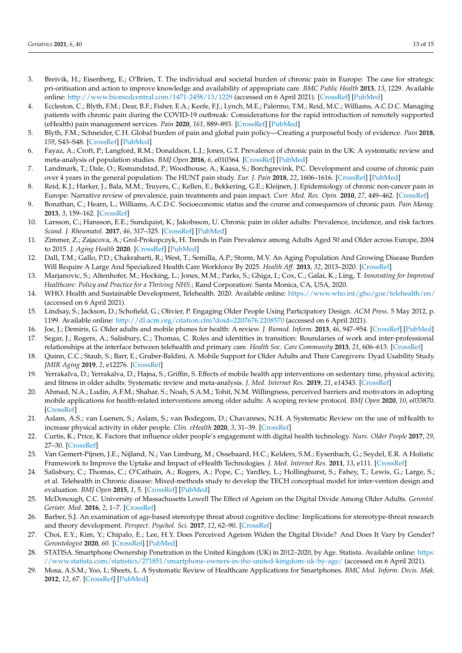- <span id="page-12-0"></span>3. Breivik, H.; Eisenberg, E.; O'Brien, T. The individual and societal burden of chronic pain in Europe: The case for strategic pri-oritisation and action to improve knowledge and availability of appropriate care. *BMC Public Health* **2013**, *13*, 1229. Available online: <http://www.biomedcentral.com/1471-2458/13/1229> (accessed on 6 April 2021). [\[CrossRef\]](http://doi.org/10.1186/1471-2458-13-1229) [\[PubMed\]](http://www.ncbi.nlm.nih.gov/pubmed/24365383)
- <span id="page-12-1"></span>4. Eccleston, C.; Blyth, F.M.; Dear, B.F.; Fisher, E.A.; Keefe, F.J.; Lynch, M.E.; Palermo, T.M.; Reid, M.C.; Williams, A.C.D.C. Managing patients with chronic pain during the COVID-19 outbreak: Considerations for the rapid introduction of remotely supported (eHealth) pain management services. *Pain* **2020**, *161*, 889–893. [\[CrossRef\]](http://doi.org/10.1097/j.pain.0000000000001885) [\[PubMed\]](http://www.ncbi.nlm.nih.gov/pubmed/32251203)
- <span id="page-12-2"></span>5. Blyth, F.M.; Schneider, C.H. Global burden of pain and global pain policy—Creating a purposeful body of evidence. *Pain* **2018**, *159*, S43–S48. [\[CrossRef\]](http://doi.org/10.1097/j.pain.0000000000001311) [\[PubMed\]](http://www.ncbi.nlm.nih.gov/pubmed/30113946)
- 6. Fayaz, A.; Croft, P.; Langford, R.M.; Donaldson, L.J.; Jones, G.T. Prevalence of chronic pain in the UK: A systematic review and meta-analysis of population studies. *BMJ Open* **2016**, *6*, e010364. [\[CrossRef\]](http://doi.org/10.1136/bmjopen-2015-010364) [\[PubMed\]](http://www.ncbi.nlm.nih.gov/pubmed/27324708)
- <span id="page-12-3"></span>7. Landmark, T.; Dale, O.; Romundstad, P.; Woodhouse, A.; Kaasa, S.; Borchgrevink, P.C. Development and course of chronic pain over 4 years in the general population: The HUNT pain study. *Eur. J. Pain* **2018**, *22*, 1606–1616. [\[CrossRef\]](http://doi.org/10.1002/ejp.1243) [\[PubMed\]](http://www.ncbi.nlm.nih.gov/pubmed/29754398)
- <span id="page-12-4"></span>8. Reid, K.J.; Harker, J.; Bala, M.M.; Truyers, C.; Kellen, E.; Bekkering, G.E.; Kleijnen, J. Epidemiology of chronic non-cancer pain in Europe: Narrative review of prevalence, pain treatments and pain impact. *Curr. Med. Res. Opin.* **2010**, *27*, 449–462. [\[CrossRef\]](http://doi.org/10.1185/03007995.2010.545813)
- <span id="page-12-5"></span>9. Bonathan, C.; Hearn, L.; Williams, A.C.D.C. Socioeconomic status and the course and consequences of chronic pain. *Pain Manag.* **2013**, *3*, 159–162. [\[CrossRef\]](http://doi.org/10.2217/pmt.13.18)
- <span id="page-12-6"></span>10. Larsson, C.; Hansson, E.E.; Sundquist, K.; Jakobsson, U. Chronic pain in older adults: Prevalence, incidence, and risk factors. *Scand. J. Rheumatol.* **2017**, *46*, 317–325. [\[CrossRef\]](http://doi.org/10.1080/03009742.2016.1218543) [\[PubMed\]](http://www.ncbi.nlm.nih.gov/pubmed/27885914)
- <span id="page-12-7"></span>11. Zimmer, Z.; Zajacova, A.; Grol-Prokopczyk, H. Trends in Pain Prevalence among Adults Aged 50 and Older across Europe, 2004 to 2015. *J. Aging Health* **2020**. [\[CrossRef\]](http://doi.org/10.1177/0898264320931665) [\[PubMed\]](http://www.ncbi.nlm.nih.gov/pubmed/32583713)
- <span id="page-12-8"></span>12. Dall, T.M.; Gallo, P.D.; Chakrabarti, R.; West, T.; Semilla, A.P.; Storm, M.V. An Aging Population And Growing Disease Burden Will Require A Large And Specialized Health Care Workforce By 2025. *Health Aff.* **2013**, *32*, 2013–2020. [\[CrossRef\]](http://doi.org/10.1377/hlthaff.2013.0714)
- <span id="page-12-9"></span>13. Marjanovic, S.; Altenhofer, M.; Hocking, L.; Jones, M.M.; Parks, S.; Ghiga, I.; Cox, C.; Galai, K.; Ling, T. *Innovating for Improved Healthcare: Policy and Practice for a Thriving NHS.*; Rand Corporation: Santa Monica, CA, USA, 2020.
- <span id="page-12-10"></span>14. WHO. Health and Sustainable Development, Telehealth. 2020. Available online: <https://www.who.int/gho/goe/telehealth/en/> (accessed on 6 April 2021).
- <span id="page-12-11"></span>15. Lindsay, S.; Jackson, D.; Schofield, G.; Olivier, P. Engaging Older People Using Participatory Design. *ACM Press*. 5 May 2012, p. 1199. Available online: <http://dl.acm.org/citation.cfm?doid=2207676.2208570> (accessed on 6 April 2021).
- 16. Joe, J.; Demiris, G. Older adults and mobile phones for health: A review. *J. Biomed. Inform.* **2013**, *46*, 947–954. [\[CrossRef\]](http://doi.org/10.1016/j.jbi.2013.06.008) [\[PubMed\]](http://www.ncbi.nlm.nih.gov/pubmed/23810858)
- 17. Segar, J.; Rogers, A.; Salisbury, C.; Thomas, C. Roles and identities in transition: Boundaries of work and inter-professional relationships at the interface between telehealth and primary care. *Health Soc. Care Community* **2013**, *21*, 606–613. [\[CrossRef\]](http://doi.org/10.1111/hsc.12047)
- 18. Quinn, C.C.; Staub, S.; Barr, E.; Gruber-Baldini, A. Mobile Support for Older Adults and Their Caregivers: Dyad Usability Study. *JMIR Aging* **2019**, *2*, e12276. [\[CrossRef\]](http://doi.org/10.2196/12276)
- 19. Yerrakalva, D.; Yerrakalva, D.; Hajna, S.; Griffin, S. Effects of mobile health app interventions on sedentary time, physical activity, and fitness in older adults: Systematic review and meta-analysis. *J. Med. Internet Res.* **2019**, *21*, e14343. [\[CrossRef\]](http://doi.org/10.2196/14343)
- 20. Ahmad, N.A.; Ludin, A.F.M.; Shahar, S.; Noah, S.A.M.; Tohit, N.M. Willingness, perceived barriers and motivators in adopting mobile applications for health-related interventions among older adults: A scoping review protocol. *BMJ Open* **2020**, *10*, e033870. [\[CrossRef\]](http://doi.org/10.1136/bmjopen-2019-033870)
- <span id="page-12-12"></span>21. Aslam, A.S.; van Luenen, S.; Aslam, S.; van Bodegom, D.; Chavannes, N.H. A Systematic Review on the use of mHealth to increase physical activity in older people. *Clin. eHealth* **2020**, *3*, 31–39. [\[CrossRef\]](http://doi.org/10.1016/j.ceh.2020.04.002)
- <span id="page-12-13"></span>22. Curtis, K.; Price, K. Factors that influence older people's engagement with digital health technology. *Nurs. Older People* **2017**, *29*, 27–30. [\[CrossRef\]](http://doi.org/10.7748/nop.2017.e986)
- <span id="page-12-14"></span>23. Van Gemert-Pijnen, J.E.; Nijland, N.; Van Limburg, M.; Ossebaard, H.C.; Kelders, S.M.; Eysenbach, G.; Seydel, E.R. A Holistic Framework to Improve the Uptake and Impact of eHealth Technologies. *J. Med. Internet Res.* **2011**, *13*, e111. [\[CrossRef\]](http://doi.org/10.2196/jmir.1672)
- <span id="page-12-15"></span>24. Salisbury, C.; Thomas, C.; O'Cathain, A.; Rogers, A.; Pope, C.; Yardley, L.; Hollinghurst, S.; Fahey, T.; Lewis, G.; Large, S.; et al. Telehealth in Chronic disease: Mixed-methods study to develop the TECH conceptual model for inter-vention design and evaluation. *BMJ Open* **2015**, *1*, 5. [\[CrossRef\]](http://doi.org/10.1136/bmjopen-2014-006448) [\[PubMed\]](http://www.ncbi.nlm.nih.gov/pubmed/25659890)
- <span id="page-12-19"></span>25. McDonough, C.C. University of Massachusetts Lowell The Effect of Ageism on the Digital Divide Among Older Adults. *Gerontol. Geriatr. Med.* **2016**, *2*, 1–7. [\[CrossRef\]](http://doi.org/10.24966/GGM-8662/100008)
- 26. Barber, S.J. An examination of age-based stereotype threat about cognitive decline: Implications for stereotype-threat research and theory development. *Perspect. Psychol. Sci.* **2017**, *12*, 62–90. [\[CrossRef\]](http://doi.org/10.1177/1745691616656345)
- <span id="page-12-16"></span>27. Choi, E.Y.; Kim, Y.; Chipalo, E.; Lee, H.Y. Does Perceived Ageism Widen the Digital Divide? And Does It Vary by Gender? *Gerontologist* **2020**, *60*. [\[CrossRef\]](http://doi.org/10.1093/geront/gnaa066) [\[PubMed\]](http://www.ncbi.nlm.nih.gov/pubmed/32539099)
- <span id="page-12-17"></span>28. STATISA. Smartphone Ownership Penetration in the United Kingdom (UK) in 2012–2020, by Age. Statista. Available online: [https:](https://www.statista.com/statistics/271851/smartphone-owners-in-the-united-kingdom-uk-by-age/) [//www.statista.com/statistics/271851/smartphone-owners-in-the-united-kingdom-uk-by-age/](https://www.statista.com/statistics/271851/smartphone-owners-in-the-united-kingdom-uk-by-age/) (accessed on 6 April 2021).
- <span id="page-12-18"></span>29. Mosa, A.S.M.; Yoo, I.; Sheets, L. A Systematic Review of Healthcare Applications for Smartphones. *BMC Med. Inform. Decis. Mak.* **2012**, *12*, 67. [\[CrossRef\]](http://doi.org/10.1186/1472-6947-12-67) [\[PubMed\]](http://www.ncbi.nlm.nih.gov/pubmed/22781312)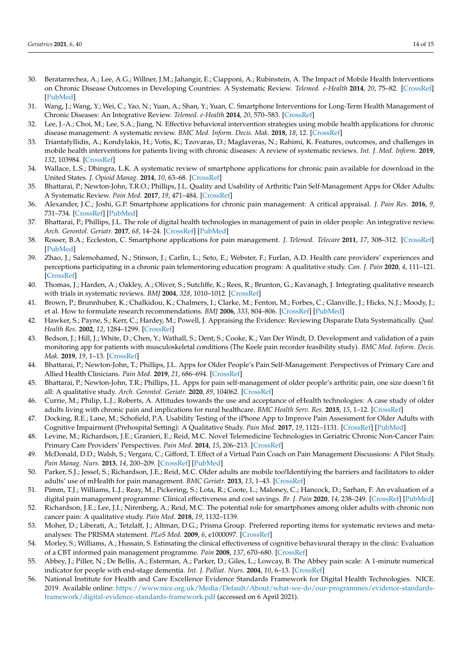- <span id="page-13-0"></span>30. Beratarrechea, A.; Lee, A.G.; Willner, J.M.; Jahangir, E.; Ciapponi, A.; Rubinstein, A. The Impact of Mobile Health Interventions on Chronic Disease Outcomes in Developing Countries: A Systematic Review. *Telemed. e-Health* **2014**, *20*, 75–82. [\[CrossRef\]](http://doi.org/10.1089/tmj.2012.0328) [\[PubMed\]](http://www.ncbi.nlm.nih.gov/pubmed/24205809)
- 31. Wang, J.; Wang, Y.; Wei, C.; Yao, N.; Yuan, A.; Shan, Y.; Yuan, C. Smartphone Interventions for Long-Term Health Management of Chronic Diseases: An Integrative Review. *Telemed. e-Health* **2014**, *20*, 570–583. [\[CrossRef\]](http://doi.org/10.1089/tmj.2013.0243)
- 32. Lee, J.-A.; Choi, M.; Lee, S.A.; Jiang, N. Effective behavioral intervention strategies using mobile health applications for chronic disease management: A systematic review. *BMC Med. Inform. Decis. Mak.* **2018**, *18*, 12. [\[CrossRef\]](http://doi.org/10.1186/s12911-018-0591-0)
- <span id="page-13-11"></span><span id="page-13-1"></span>33. Triantafyllidis, A.; Kondylakis, H.; Votis, K.; Tzovaras, D.; Maglaveras, N.; Rahimi, K. Features, outcomes, and challenges in mobile health interventions for patients living with chronic diseases: A review of systematic reviews. *Int. J. Med. Inform.* **2019**, *132*, 103984. [\[CrossRef\]](http://doi.org/10.1016/j.ijmedinf.2019.103984)
- <span id="page-13-12"></span><span id="page-13-2"></span>34. Wallace, L.S.; Dhingra, L.K. A systematic review of smartphone applications for chronic pain available for download in the United States. *J. Opioid Manag.* **2014**, *10*, 63–68. [\[CrossRef\]](http://doi.org/10.5055/jom.2014.0193)
- <span id="page-13-13"></span><span id="page-13-3"></span>35. Bhattarai, P.; Newton-John, T.R.O.; Phillips, J.L. Quality and Usability of Arthritic Pain Self-Management Apps for Older Adults: A Systematic Review. *Pain Med.* **2017**, *19*, 471–484. [\[CrossRef\]](http://doi.org/10.1093/pm/pnx090)
- <span id="page-13-14"></span><span id="page-13-4"></span>36. Alexander, J.C.; Joshi, G.P. Smartphone applications for chronic pain management: A critical appraisal. *J. Pain Res.* **2016**, *9*, 731–734. [\[CrossRef\]](http://doi.org/10.2147/JPR.S119966) [\[PubMed\]](http://www.ncbi.nlm.nih.gov/pubmed/27713649)
- <span id="page-13-15"></span><span id="page-13-5"></span>37. Bhattarai, P.; Phillips, J.L. The role of digital health technologies in management of pain in older people: An integrative review. *Arch. Gerontol. Geriatr.* **2017**, *68*, 14–24. [\[CrossRef\]](http://doi.org/10.1016/j.archger.2016.08.008) [\[PubMed\]](http://www.ncbi.nlm.nih.gov/pubmed/27584871)
- <span id="page-13-16"></span><span id="page-13-6"></span>38. Rosser, B.A.; Eccleston, C. Smartphone applications for pain management. *J. Telemed. Telecare* **2011**, *17*, 308–312. [\[CrossRef\]](http://doi.org/10.1258/jtt.2011.101102) [\[PubMed\]](http://www.ncbi.nlm.nih.gov/pubmed/21844177)
- <span id="page-13-17"></span><span id="page-13-7"></span>39. Zhao, J.; Salemohamed, N.; Stinson, J.; Carlin, L.; Seto, E.; Webster, F.; Furlan, A.D. Health care providers' experiences and perceptions participating in a chronic pain telementoring education program: A qualitative study. *Can. J. Pain* **2020**, *4*, 111–121. [\[CrossRef\]](http://doi.org/10.1080/24740527.2020.1749003)
- <span id="page-13-18"></span><span id="page-13-8"></span>40. Thomas, J.; Harden, A.; Oakley, A.; Oliver, S.; Sutcliffe, K.; Rees, R.; Brunton, G.; Kavanagh, J. Integrating qualitative research with trials in systematic reviews. *BMJ* **2004**, *328*, 1010–1012. [\[CrossRef\]](http://doi.org/10.1136/bmj.328.7446.1010)
- <span id="page-13-19"></span><span id="page-13-9"></span>41. Brown, P.; Brunnhuber, K.; Chalkidou, K.; Chalmers, I.; Clarke, M.; Fenton, M.; Forbes, C.; Glanville, J.; Hicks, N.J.; Moody, J.; et al. How to formulate research recommendations. *BMJ* **2006**, *333*, 804–806. [\[CrossRef\]](http://doi.org/10.1136/bmj.38987.492014.94) [\[PubMed\]](http://www.ncbi.nlm.nih.gov/pubmed/17038740)
- <span id="page-13-20"></span><span id="page-13-10"></span>42. Hawker, S.; Payne, S.; Kerr, C.; Hardey, M.; Powell, J. Appraising the Evidence: Reviewing Disparate Data Systematically. *Qual. Health Res.* **2002**, *12*, 1284–1299. [\[CrossRef\]](http://doi.org/10.1177/1049732302238251)
- <span id="page-13-22"></span>43. Bedson, J.; Hill, J.; White, D.; Chen, Y.; Wathall, S.; Dent, S.; Cooke, K.; Van Der Windt, D. Development and validation of a pain monitoring app for patients with musculoskeletal conditions (The Keele pain recorder feasibility study). *BMC Med. Inform. Decis. Mak.* **2019**, *19*, 1–13. [\[CrossRef\]](http://doi.org/10.1186/s12911-019-0741-z)
- <span id="page-13-26"></span>44. Bhattarai, P.; Newton-John, T.; Phillips, J.L. Apps for Older People's Pain Self-Management: Perspectives of Primary Care and Allied Health Clinicians. *Pain Med.* **2019**, *21*, 686–694. [\[CrossRef\]](http://doi.org/10.1093/pm/pnz218)
- <span id="page-13-27"></span>45. Bhattarai, P.; Newton-John, T.R.; Phillips, J.L. Apps for pain self-management of older people's arthritic pain, one size doesn't fit all: A qualitative study. *Arch. Gerontol. Geriatr.* **2020**, *89*, 104062. [\[CrossRef\]](http://doi.org/10.1016/j.archger.2020.104062)
- <span id="page-13-23"></span>46. Currie, M.; Philip, L.J.; Roberts, A. Attitudes towards the use and acceptance of eHealth technologies: A case study of older adults living with chronic pain and implications for rural healthcare. *BMC Health Serv. Res.* 2015, 15, 1-12. [\[CrossRef\]](http://doi.org/10.1186/s12913-015-0825-0)
- <span id="page-13-28"></span>47. Docking, R.E.; Lane, M.; Schofield, P.A. Usability Testing of the iPhone App to Improve Pain Assessment for Older Adults with Cognitive Impairment (Prehospital Setting): A Qualitative Study. *Pain Med.* **2017**, *19*, 1121–1131. [\[CrossRef\]](http://doi.org/10.1093/pm/pnx028) [\[PubMed\]](http://www.ncbi.nlm.nih.gov/pubmed/28340247)
- <span id="page-13-29"></span>48. Levine, M.; Richardson, J.E.; Granieri, E.; Reid, M.C. Novel Telemedicine Technologies in Geriatric Chronic Non-Cancer Pain: Primary Care Providers' Perspectives. *Pain Med.* **2014**, *15*, 206–213. [\[CrossRef\]](http://doi.org/10.1111/pme.12323)
- <span id="page-13-24"></span>49. McDonald, D.D.; Walsh, S.; Vergara, C.; Gifford, T. Effect of a Virtual Pain Coach on Pain Management Discussions: A Pilot Study. *Pain Manag. Nurs.* **2013**, *14*, 200–209. [\[CrossRef\]](http://doi.org/10.1016/j.pmn.2011.03.004) [\[PubMed\]](http://www.ncbi.nlm.nih.gov/pubmed/24315243)
- <span id="page-13-30"></span>50. Parker, S.J.; Jessel, S.; Richardson, J.E.; Reid, M.C. Older adults are mobile too!Identifying the barriers and facilitators to older adults' use of mHealth for pain management. *BMC Geriatr.* **2013**, *13*, 1–43. [\[CrossRef\]](http://doi.org/10.1186/1471-2318-13-43)
- <span id="page-13-21"></span>51. Pimm, T.J.; Williams, L.J.; Reay, M.; Pickering, S.; Lota, R.; Coote, L.; Maloney, C.; Hancock, D.; Sarhan, F. An evaluation of a digital pain management programme: Clinical effectiveness and cost savings. *Br. J. Pain* **2020**, *14*, 238–249. [\[CrossRef\]](http://doi.org/10.1177/2049463719865286) [\[PubMed\]](http://www.ncbi.nlm.nih.gov/pubmed/33194188)
- <span id="page-13-31"></span>52. Richardson, J.E.; Lee, J.I.; Nirenberg, A.; Reid, M.C. The potential role for smartphones among older adults with chronic non cancer pain: A qualitative study. *Pain Med.* **2018**, *19*, 1132–1139.
- <span id="page-13-25"></span>53. Moher, D.; Liberati, A.; Tetzlaff, J.; Altman, D.G.; Prisma Group. Preferred reporting items for systematic reviews and metaanalyses: The PRISMA statement. *PLoS Med.* **2009**, *6*, e1000097. [\[CrossRef\]](http://doi.org/10.1371/journal.pmed.1000097)
- <span id="page-13-32"></span>54. Morley, S.; Williams, A.; Hussain, S. Estimating the clinical effectiveness of cognitive behavioural therapy in the clinic: Evaluation of a CBT informed pain management programme. *Pain* **2008**, *137*, 670–680. [\[CrossRef\]](http://doi.org/10.1016/j.pain.2008.02.025)
- <span id="page-13-33"></span>55. Abbey, J.; Piller, N.; De Bellis, A.; Esterman, A.; Parker, D.; Giles, L.; Lowcay, B. The Abbey pain scale: A 1-minute numerical indicator for people with end-stage dementia. *Int. J. Palliat. Nurs.* **2004**, *10*, 6–13. [\[CrossRef\]](http://doi.org/10.12968/ijpn.2004.10.1.12013)
- <span id="page-13-34"></span>56. National Institute for Health and Care Excellence Evidence Standards Framework for Digital Health Technologies. NICE. 2019. Available online: [https://www.nice.org.uk/Media/Default/About/what-we-do/our-programmes/evidence-standards](https://www.nice.org.uk/Media/Default/About/what-we-do/our-programmes/evidence-standards-framework/digital-evidence-standards-framework.pdf)[framework/digital-evidence-standards-framework.pdf](https://www.nice.org.uk/Media/Default/About/what-we-do/our-programmes/evidence-standards-framework/digital-evidence-standards-framework.pdf) (accessed on 6 April 2021).